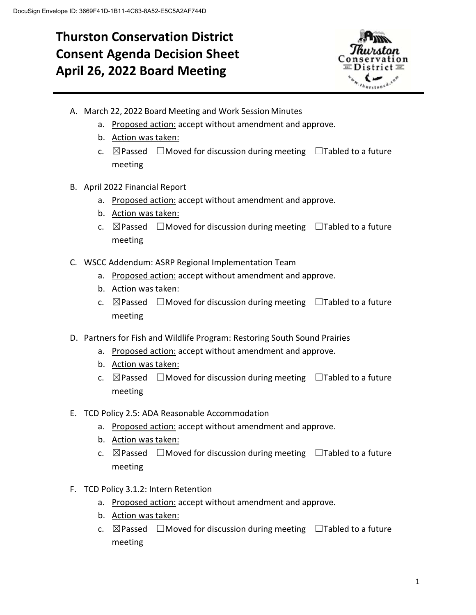# **Thurston Conservation District Consent Agenda Decision Sheet April 26, 2022 Board Meeting**



- A. March 22, 2022 Board Meeting and Work Session Minutes
	- a. Proposed action: accept without amendment and approve.
	- b. Action was taken:
	- c.  $\boxtimes$  Passed  $\Box$  Moved for discussion during meeting  $\Box$  Tabled to a future meeting
- B. April 2022 Financial Report
	- a. Proposed action: accept without amendment and approve.
	- b. Action was taken:
	- c.  $\boxtimes$  Passed  $\Box$  Moved for discussion during meeting  $\Box$  Tabled to a future meeting
- C. WSCC Addendum: ASRP Regional Implementation Team
	- a. Proposed action: accept without amendment and approve.
	- b. Action was taken:
	- c.  $\boxtimes$  Passed  $\Box$  Moved for discussion during meeting  $\Box$  Tabled to a future meeting
- D. Partners for Fish and Wildlife Program: Restoring South Sound Prairies
	- a. Proposed action: accept without amendment and approve.
	- b. Action was taken:
	- c.  $\boxtimes$  Passed  $\Box$  Moved for discussion during meeting  $\Box$  Tabled to a future meeting
- E. TCD Policy 2.5: ADA Reasonable Accommodation
	- a. Proposed action: accept without amendment and approve.
	- b. Action was taken:
	- c.  $\boxtimes$  Passed  $\Box$  Moved for discussion during meeting  $\Box$  Tabled to a future meeting
- F. TCD Policy 3.1.2: Intern Retention
	- a. Proposed action: accept without amendment and approve.
	- b. Action was taken:
	- c.  $\boxtimes$  Passed  $\Box$  Moved for discussion during meeting  $\Box$  Tabled to a future meeting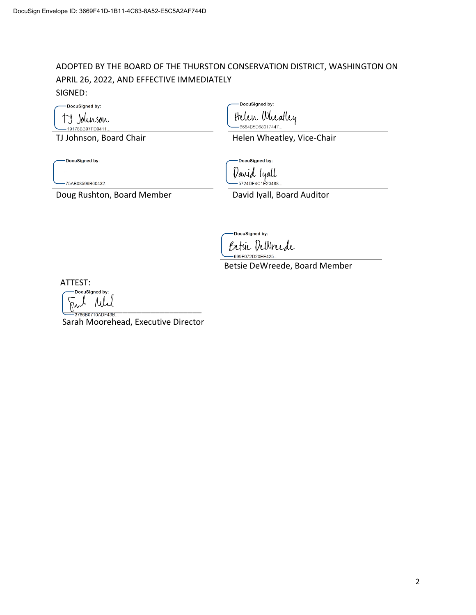## ADOPTED BY THE BOARD OF THE THURSTON CONSERVATION DISTRICT, WASHINGTON ON APRIL 26, 2022, AND EFFECTIVE IMMEDIATELY SIGNED:

DocuSigned by: TJ Johnson - 19178BB97FD9411..

DocuSigned by:

Helen Wheatley -6684B5D68017447..

TJ Johnson, Board Chair **Helen Wheatley, Vice-Chair** Helen Wheatley, Vice-Chair

-DocuSigned by:

-DocuSigned by: David lyall

]<br>- 5724DF4C1E20488..

-75AB08596B60432...

Doug Rushton, Board Member David Iyall, Board Auditor

DocuSigned by: Betsie Delvrede -699F072D20EE425.

Betsie DeWreede, Board Member

ATTEST:

DocuSigned by:  $\frac{1}{2}$ 

Sarah Moorehead, Executive Director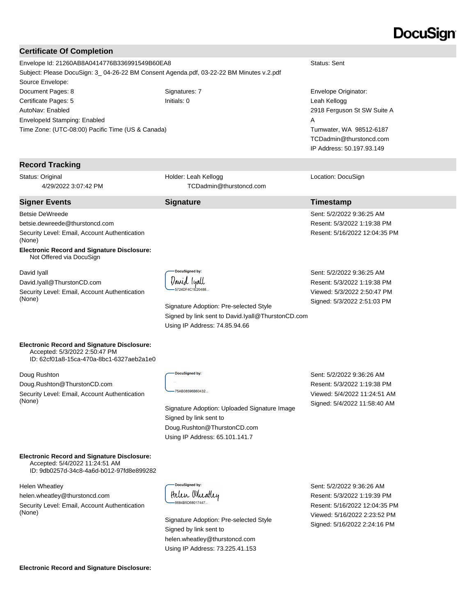# DocuSian

#### **Certificate Of Completion**

**Record Tracking** Status: Original

Betsie DeWreede

(None)

David Iyall

(None)

4/29/2022 3:07:42 PM

betsie.dewreede@thurstoncd.com

Not Offered via DocuSign

David.Iyall@ThurstonCD.com

Security Level: Email, Account Authentication

**Electronic Record and Signature Disclosure:** 

Security Level: Email, Account Authentication

Time Zone: (UTC-08:00) Pacific Time (US & Canada)

Envelope Id: 21260AB8A0414776B336991549B60EA8 Status: Sent Subject: Please DocuSign: 3\_ 04-26-22 BM Consent Agenda.pdf, 03-22-22 BM Minutes v.2.pdf Source Envelope: Document Pages: 8 Signatures: 7 Signatures: 7 Envelope Originator: Certificate Pages: 5 Initials: 0 Leah Kellogg AutoNav: Enabled EnvelopeId Stamping: Enabled

2918 Ferguson St SW Suite A A Tumwater, WA 98512-6187 TCDadmin@thurstoncd.com IP Address: 50.197.93.149

Location: DocuSign

#### **Signer Events Signature Timestamp**

Sent: 5/2/2022 9:36:25 AM Resent: 5/3/2022 1:19:38 PM Resent: 5/16/2022 12:04:35 PM

Viewed: 5/3/2022 2:50:47 PM

Sent: 5/2/2022 9:36:25 AM Resent: 5/3/2022 1:19:38 PM Signed: 5/3/2022 2:51:03 PM

**Electronic Record and Signature Disclosure:**  Accepted: 5/3/2022 2:50:47 PM

ID: 62cf01a8-15ca-470a-8bc1-6327aeb2a1e0

Doug Rushton

Doug.Rushton@ThurstonCD.com

Security Level: Email, Account Authentication (None)

DocuSigned by:

75AB08596B60432

Signature Adoption: Uploaded Signature Image Signed by link sent to Doug.Rushton@ThurstonCD.com Using IP Address: 65.101.141.7

Sent: 5/2/2022 9:36:26 AM Resent: 5/3/2022 1:19:38 PM Viewed: 5/4/2022 11:24:51 AM Signed: 5/4/2022 11:58:40 AM

**Electronic Record and Signature Disclosure:**  Accepted: 5/4/2022 11:24:51 AM

ID: 9db0257d-34c8-4a6d-b012-97fd8e899282

Helen Wheatley

helen.wheatley@thurstoncd.com Security Level: Email, Account Authentication (None)

DocuSianed by: Helen Wheatley 6684B5D68017447.

Signature Adoption: Pre-selected Style Signed by link sent to helen.wheatley@thurstoncd.com Using IP Address: 73.225.41.153

Sent: 5/2/2022 9:36:26 AM Resent: 5/3/2022 1:19:39 PM Resent: 5/16/2022 12:04:35 PM Viewed: 5/16/2022 2:23:52 PM Signed: 5/16/2022 2:24:16 PM

**Electronic Record and Signature Disclosure:** 



Holder: Leah Kellogg

TCDadmin@thurstoncd.com

Signature Adoption: Pre-selected Style

Using IP Address: 74.85.94.66

Signed by link sent to David.Iyall@ThurstonCD.com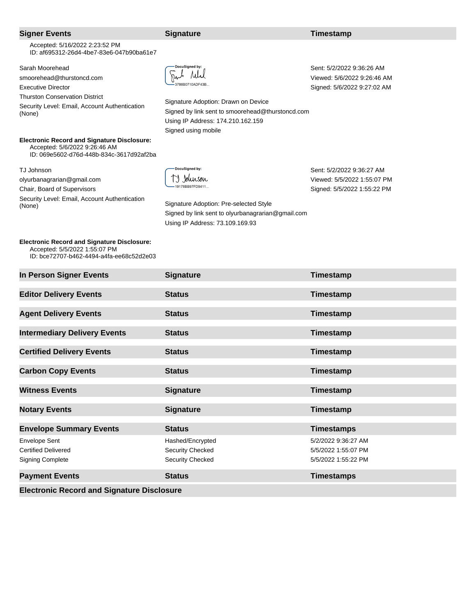| <b>Signer Events</b>                                                                                                                                                          | <b>Signature</b>                                                                                                                                                                                | Timestamp                                                                               |
|-------------------------------------------------------------------------------------------------------------------------------------------------------------------------------|-------------------------------------------------------------------------------------------------------------------------------------------------------------------------------------------------|-----------------------------------------------------------------------------------------|
| Accepted: 5/16/2022 2:23:52 PM<br>ID: af695312-26d4-4be7-83e6-047b90ba61e7                                                                                                    |                                                                                                                                                                                                 |                                                                                         |
| Sarah Moorehead<br>smoorehead@thurstoncd.com<br><b>Executive Director</b><br><b>Thurston Conservation District</b><br>Security Level: Email, Account Authentication<br>(None) | <b>DocuSigned by:</b><br>3786B0710ADF43B<br>Signature Adoption: Drawn on Device<br>Signed by link sent to smoorehead@thurstoncd.com<br>Using IP Address: 174.210.162.159<br>Signed using mobile | Sent: 5/2/2022 9:36:26 AM<br>Viewed: 5/6/2022 9:26:46 AM<br>Signed: 5/6/2022 9:27:02 AM |
| <b>Electronic Record and Signature Disclosure:</b><br>Accepted: 5/6/2022 9:26:46 AM<br>ID: 069e5602-d76d-448b-834c-3617d92af2ba                                               |                                                                                                                                                                                                 |                                                                                         |
| TJ Johnson<br>olyurbanagrarian@gmail.com<br>Chair, Board of Supervisors<br>Security Level: Email, Account Authentication<br>(None)                                            | <b>DocuSianed by:</b><br>19178BB97FD9411.<br>Signature Adoption: Pre-selected Style<br>Signed by link sent to olyurbanagrarian@gmail.com<br>Using IP Address: 73.109.169.93                     | Sent: 5/2/2022 9:36:27 AM<br>Viewed: 5/5/2022 1:55:07 PM<br>Signed: 5/5/2022 1:55:22 PM |

**Electronic Record and Signature Disclosure:** 

 Accepted: 5/5/2022 1:55:07 PM ID: bce72707-b462-4494-a4fa-ee68c52d2e03

| In Person Signer Events             | <b>Signature</b> | Timestamp |
|-------------------------------------|------------------|-----------|
| <b>Editor Delivery Events</b>       | <b>Status</b>    | Timestamp |
| <b>Agent Delivery Events</b>        | <b>Status</b>    | Timestamp |
| <b>Intermediary Delivery Events</b> | <b>Status</b>    | Timestamp |

| <b>Intermediary Delivery Events</b>                                           | <b>Status</b>                                                   | Timestamp                                                         |
|-------------------------------------------------------------------------------|-----------------------------------------------------------------|-------------------------------------------------------------------|
| <b>Certified Delivery Events</b>                                              | <b>Status</b>                                                   | Timestamp                                                         |
| <b>Carbon Copy Events</b>                                                     | <b>Status</b>                                                   | Timestamp                                                         |
| <b>Witness Events</b>                                                         | <b>Signature</b>                                                | Timestamp                                                         |
| <b>Notary Events</b>                                                          | <b>Signature</b>                                                | Timestamp                                                         |
|                                                                               |                                                                 |                                                                   |
| <b>Envelope Summary Events</b>                                                | <b>Status</b>                                                   | <b>Timestamps</b>                                                 |
| <b>Envelope Sent</b><br><b>Certified Delivered</b><br><b>Signing Complete</b> | Hashed/Encrypted<br>Security Checked<br><b>Security Checked</b> | 5/2/2022 9:36:27 AM<br>5/5/2022 1:55:07 PM<br>5/5/2022 1:55:22 PM |

**Electronic Record and Signature Disclosure**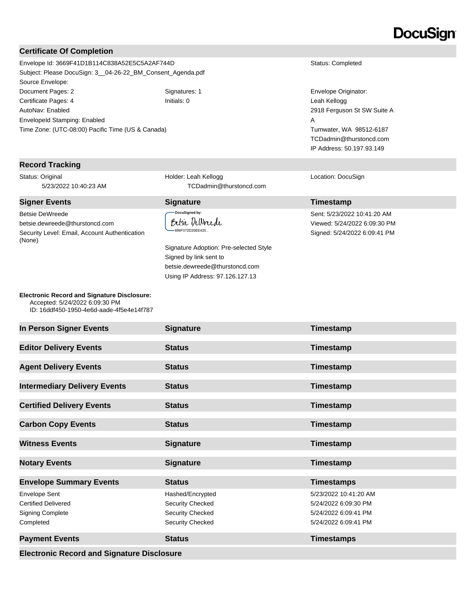# **DocuSign**

#### **Certificate Of Completion**

Envelope Id: 3669F41D1B114C838A52E5C5A2AF744D Status: Completed Subject: Please DocuSign: 3\_\_04-26-22\_BM\_Consent\_Agenda.pdf Source Envelope: Document Pages: 2 Signatures: 1 Signatures: 1 Envelope Originator: Certificate Pages: 4 Initials: 0 Leah Kellogg AutoNav: Enabled EnvelopeId Stamping: Enabled Time Zone: (UTC-08:00) Pacific Time (US & Canada)

#### **Record Tracking**

Status: Original 5/23/2022 10:40:23 AM

#### **Signer Events Signature Construction Construction Construction Construction Construction Construction Construction Construction Construction Construction Construction Construction Construction Construction Constructio**

Betsie DeWreede betsie.dewreede@thurstoncd.com Security Level: Email, Account Authentication (None)

Holder: Leah Kellogg TCDadmin@thurstoncd.com

DocuSianed by:

Betsie Dellmede 699F072D20EE425...

Signature Adoption: Pre-selected Style Signed by link sent to betsie.dewreede@thurstoncd.com Using IP Address: 97.126.127.13

2918 Ferguson St SW Suite A A Tumwater, WA 98512-6187 TCDadmin@thurstoncd.com IP Address: 50.197.93.149

Location: DocuSign

Sent: 5/23/2022 10:41:20 AM Viewed: 5/24/2022 6:09:30 PM Signed: 5/24/2022 6:09:41 PM

| <b>Electronic Record and Signature Disclosure:</b> |
|----------------------------------------------------|
| Accepted: 5/24/2022 6:09:30 PM                     |
| ID: 16ddf450-1950-4e6d-aade-4f5e4e14f787           |

| In Person Signer Events                                                             | <b>Signature</b>                                                             | <b>Timestamp</b>                                                                              |  |
|-------------------------------------------------------------------------------------|------------------------------------------------------------------------------|-----------------------------------------------------------------------------------------------|--|
| <b>Editor Delivery Events</b>                                                       | <b>Status</b>                                                                | Timestamp                                                                                     |  |
| <b>Agent Delivery Events</b>                                                        | <b>Status</b>                                                                | Timestamp                                                                                     |  |
| <b>Intermediary Delivery Events</b>                                                 | <b>Status</b>                                                                | Timestamp                                                                                     |  |
| <b>Certified Delivery Events</b>                                                    | <b>Status</b>                                                                | Timestamp                                                                                     |  |
| <b>Carbon Copy Events</b>                                                           | <b>Status</b>                                                                | Timestamp                                                                                     |  |
| <b>Witness Events</b>                                                               | <b>Signature</b>                                                             | Timestamp                                                                                     |  |
| <b>Notary Events</b>                                                                | <b>Signature</b>                                                             | Timestamp                                                                                     |  |
| <b>Envelope Summary Events</b>                                                      | <b>Status</b>                                                                | <b>Timestamps</b>                                                                             |  |
| Envelope Sent<br><b>Certified Delivered</b><br><b>Signing Complete</b><br>Completed | Hashed/Encrypted<br>Security Checked<br>Security Checked<br>Security Checked | 5/23/2022 10:41:20 AM<br>5/24/2022 6:09:30 PM<br>5/24/2022 6:09:41 PM<br>5/24/2022 6:09:41 PM |  |
| <b>Payment Events</b>                                                               | <b>Status</b>                                                                | <b>Timestamps</b>                                                                             |  |
| <b>Electronic Record and Signature Disclosure</b>                                   |                                                                              |                                                                                               |  |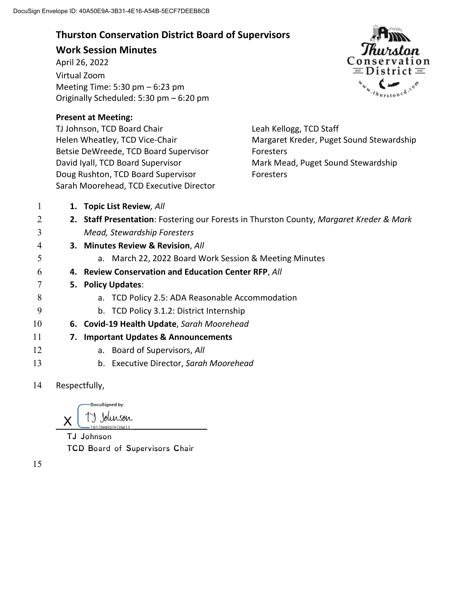## **Thurston Conservation District Board of Supervisors**

## **Work Session Minutes**

April 26, 2022 Virtual Zoom Meeting Time: 5:30 pm – 6:23 pm Originally Scheduled: 5:30 pm – 6:20 pm

## **Present at Meeting:**

TJ Johnson, TCD Board Chair Helen Wheatley, TCD Vice-Chair Betsie DeWreede, TCD Board Supervisor David Iyall, TCD Board Supervisor Doug Rushton, TCD Board Supervisor Sarah Moorehead, TCD Executive Director Cons tion EL District EL thurstoned.com

Leah Kellogg, TCD Staff Margaret Kreder, Puget Sound Stewardship Foresters Mark Mead, Puget Sound Stewardship Foresters

| 1          |                     | 1. Topic List Review, All                                                               |
|------------|---------------------|-----------------------------------------------------------------------------------------|
| 2          |                     | 2. Staff Presentation: Fostering our Forests in Thurston County, Margaret Kreder & Mark |
| 3          |                     | Mead, Stewardship Foresters                                                             |
| 4          |                     | 3. Minutes Review & Revision, All                                                       |
| 5          |                     | a. March 22, 2022 Board Work Session & Meeting Minutes                                  |
| 6          |                     | 4. Review Conservation and Education Center RFP, All                                    |
|            |                     | 5. Policy Updates:                                                                      |
| 8          |                     | a. TCD Policy 2.5: ADA Reasonable Accommodation                                         |
| 9          |                     | b. TCD Policy 3.1.2: District Internship                                                |
| 10         |                     | 6. Covid-19 Health Update, Sarah Moorehead                                              |
| 11         |                     | 7. Important Updates & Announcements                                                    |
| 12         |                     | a. Board of Supervisors, All                                                            |
| 13         |                     | b. Executive Director, Sarah Moorehead                                                  |
| $1\Lambda$ | <b>Docpoctfully</b> |                                                                                         |

14 Respectfully,

DocuSigned by: ") Johnson X

TJ Johnson TCD Board of Supervisors Chair

15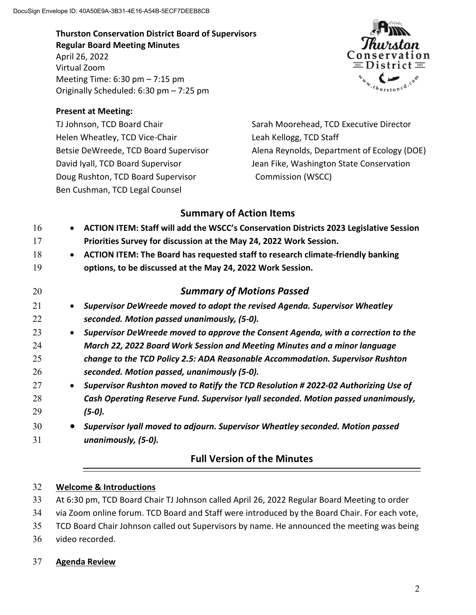**Thurston Conservation District Board of Supervisors Regular Board Meeting Minutes** April 26, 2022 Virtual Zoom Meeting Time: 6:30 pm – 7:15 pm Originally Scheduled: 6:30 pm – 7:25 pm

### **Present at Meeting:**

TJ Johnson, TCD Board Chair Helen Wheatley, TCD Vice-Chair Betsie DeWreede, TCD Board Supervisor David Iyall, TCD Board Supervisor Doug Rushton, TCD Board Supervisor Ben Cushman, TCD Legal Counsel



Sarah Moorehead, TCD Executive Director Leah Kellogg, TCD Staff Alena Reynolds, Department of Ecology (DOE) Jean Fike, Washington State Conservation Commission (WSCC)

## **Summary of Action Items**

| 16 |           | ACTION ITEM: Staff will add the WSCC's Conservation Districts 2023 Legislative Session |
|----|-----------|----------------------------------------------------------------------------------------|
| 17 |           | Priorities Survey for discussion at the May 24, 2022 Work Session.                     |
| 18 | $\bullet$ | ACTION ITEM: The Board has requested staff to research climate-friendly banking        |
| 19 |           | options, to be discussed at the May 24, 2022 Work Session.                             |
| 20 |           | <b>Summary of Motions Passed</b>                                                       |
| 21 | $\bullet$ | Supervisor DeWreede moved to adopt the revised Agenda. Supervisor Wheatley             |
| 22 |           | seconded. Motion passed unanimously, (5-0).                                            |
| 23 | $\bullet$ | Supervisor DeWreede moved to approve the Consent Agenda, with a correction to the      |
| 24 |           | March 22, 2022 Board Work Session and Meeting Minutes and a minor language             |
| 25 |           | change to the TCD Policy 2.5: ADA Reasonable Accommodation. Supervisor Rushton         |
| 26 |           | seconded. Motion passed, unanimously (5-0).                                            |
| 27 | $\bullet$ | Supervisor Rushton moved to Ratify the TCD Resolution # 2022-02 Authorizing Use of     |
| 28 |           | Cash Operating Reserve Fund. Supervisor Iyall seconded. Motion passed unanimously,     |
| 29 |           | (5-0).                                                                                 |
| 30 |           | Supervisor Iyall moved to adjourn. Supervisor Wheatley seconded. Motion passed         |
| 31 |           | unanimously, (5-0).                                                                    |

## **Full Version of the Minutes**

## 32 **Welcome & Introductions**

33 At 6:30 pm, TCD Board Chair TJ Johnson called April 26, 2022 Regular Board Meeting to order

34 via Zoom online forum. TCD Board and Staff were introduced by the Board Chair. For each vote,

35 TCD Board Chair Johnson called out Supervisors by name. He announced the meeting was being

36 video recorded.

## 37 **Agenda Review**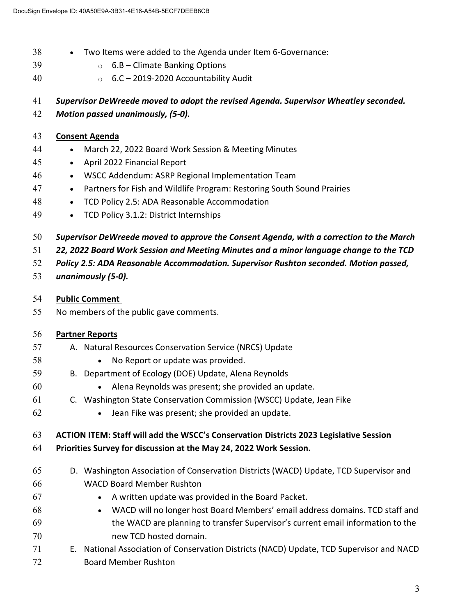- Two Items were added to the Agenda under Item 6-Governance:
- $39 \qquad \qquad \circ \qquad 6.B \text{Climate Banking Options}$
- o 6.C 2019-2020 Accountability Audit

*Supervisor DeWreede moved to adopt the revised Agenda. Supervisor Wheatley seconded. Motion passed unanimously, (5-0).* 

## **Consent Agenda**

- March 22, 2022 Board Work Session & Meeting Minutes
- April 2022 Financial Report
- WSCC Addendum: ASRP Regional Implementation Team
- **•** Partners for Fish and Wildlife Program: Restoring South Sound Prairies
- **•** TCD Policy 2.5: ADA Reasonable Accommodation
- 49 TCD Policy 3.1.2: District Internships
- *Supervisor DeWreede moved to approve the Consent Agenda, with a correction to the March*
- *22, 2022 Board Work Session and Meeting Minutes and a minor language change to the TCD*
- *Policy 2.5: ADA Reasonable Accommodation. Supervisor Rushton seconded. Motion passed,*
- *unanimously (5-0).*
- **Public Comment**
- No members of the public gave comments.

| 56 | <b>Partner Reports</b>                                                                    |
|----|-------------------------------------------------------------------------------------------|
| 57 | A. Natural Resources Conservation Service (NRCS) Update                                   |
| 58 | No Report or update was provided.<br>$\bullet$                                            |
| 59 | B. Department of Ecology (DOE) Update, Alena Reynolds                                     |
| 60 | Alena Reynolds was present; she provided an update.<br>$\bullet$                          |
| 61 | C. Washington State Conservation Commission (WSCC) Update, Jean Fike                      |
| 62 | Jean Fike was present; she provided an update.<br>$\bullet$                               |
|    |                                                                                           |
| 63 | ACTION ITEM: Staff will add the WSCC's Conservation Districts 2023 Legislative Session    |
| 64 | Priorities Survey for discussion at the May 24, 2022 Work Session.                        |
| 65 | D. Washington Association of Conservation Districts (WACD) Update, TCD Supervisor and     |
| 66 | <b>WACD Board Member Rushton</b>                                                          |
| 67 | A written update was provided in the Board Packet.<br>$\bullet$                           |
| 68 | WACD will no longer host Board Members' email address domains. TCD staff and<br>$\bullet$ |
| 69 | the WACD are planning to transfer Supervisor's current email information to the           |
| 70 | new TCD hosted domain.                                                                    |
| 71 | E. National Association of Conservation Districts (NACD) Update, TCD Supervisor and NACD  |
| 72 | <b>Board Member Rushton</b>                                                               |
|    |                                                                                           |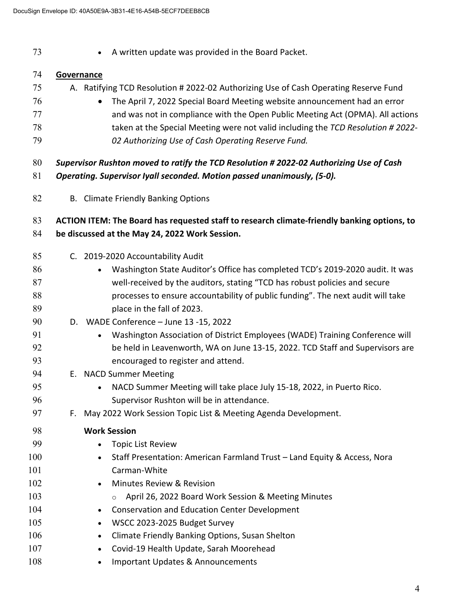**A** written update was provided in the Board Packet.

### **Governance**

- A. Ratifying TCD Resolution # 2022-02 Authorizing Use of Cash Operating Reserve Fund
- The April 7, 2022 Special Board Meeting website announcement had an error and was not in compliance with the Open Public Meeting Act (OPMA). All actions taken at the Special Meeting were not valid including the *TCD Resolution # 2022- 02 Authorizing Use of Cash Operating Reserve Fund.*
- *Supervisor Rushton moved to ratify the TCD Resolution # 2022-02 Authorizing Use of Cash*
- *Operating. Supervisor Iyall seconded. Motion passed unanimously, (5-0).*
- B. Climate Friendly Banking Options

## **ACTION ITEM: The Board has requested staff to research climate-friendly banking options, to be discussed at the May 24, 2022 Work Session.**

- C. 2019-2020 Accountability Audit
- **Washington State Auditor's Office has completed TCD's 2019-2020 audit. It was** well-received by the auditors, stating "TCD has robust policies and secure processes to ensure accountability of public funding". The next audit will take **place in the fall of 2023.**
- D. WADE Conference June 13 -15, 2022
- Washington Association of District Employees (WADE) Training Conference will be held in Leavenworth, WA on June 13-15, 2022. TCD Staff and Supervisors are encouraged to register and attend.
- E. NACD Summer Meeting
- NACD Summer Meeting will take place July 15-18, 2022, in Puerto Rico. Supervisor Rushton will be in attendance.
- F. May 2022 Work Session Topic List & Meeting Agenda Development.

## **Work Session •** Topic List Review 100 • Staff Presentation: American Farmland Trust – Land Equity & Access, Nora Carman-White 102 • Minutes Review & Revision **b** o April 26, 2022 Board Work Session & Meeting Minutes **Conservation and Education Center Development** 105 • WSCC 2023-2025 Budget Survey 106 • Climate Friendly Banking Options, Susan Shelton **• Covid-19 Health Update, Sarah Moorehead** 108 • Important Updates & Announcements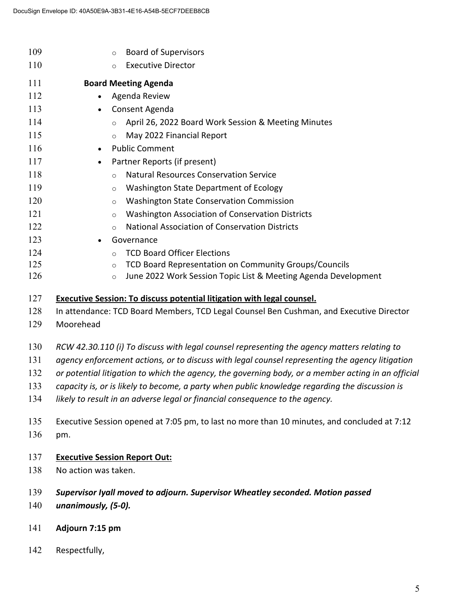| 109 | <b>Board of Supervisors</b><br>$\circ$                                                             |  |  |
|-----|----------------------------------------------------------------------------------------------------|--|--|
| 110 | <b>Executive Director</b><br>$\circ$                                                               |  |  |
| 111 | <b>Board Meeting Agenda</b>                                                                        |  |  |
| 112 | Agenda Review<br>$\bullet$                                                                         |  |  |
| 113 | Consent Agenda<br>$\bullet$                                                                        |  |  |
| 114 | April 26, 2022 Board Work Session & Meeting Minutes<br>$\circ$                                     |  |  |
| 115 | May 2022 Financial Report<br>$\circ$                                                               |  |  |
| 116 | <b>Public Comment</b><br>$\bullet$                                                                 |  |  |
| 117 | Partner Reports (if present)<br>$\bullet$                                                          |  |  |
| 118 | <b>Natural Resources Conservation Service</b><br>$\circ$                                           |  |  |
| 119 | Washington State Department of Ecology<br>$\circ$                                                  |  |  |
| 120 | <b>Washington State Conservation Commission</b><br>$\circ$                                         |  |  |
| 121 | Washington Association of Conservation Districts<br>$\circ$                                        |  |  |
| 122 | <b>National Association of Conservation Districts</b><br>$\circ$                                   |  |  |
| 123 | Governance<br>$\bullet$                                                                            |  |  |
| 124 | <b>TCD Board Officer Elections</b><br>$\circ$                                                      |  |  |
| 125 | TCD Board Representation on Community Groups/Councils<br>$\circ$                                   |  |  |
| 126 | June 2022 Work Session Topic List & Meeting Agenda Development<br>$\circ$                          |  |  |
| 127 | <b>Executive Session: To discuss potential litigation with legal counsel.</b>                      |  |  |
| 128 | In attendance: TCD Board Members, TCD Legal Counsel Ben Cushman, and Executive Director            |  |  |
| 129 | Moorehead                                                                                          |  |  |
|     |                                                                                                    |  |  |
| 130 | RCW 42.30.110 (i) To discuss with legal counsel representing the agency matters relating to        |  |  |
| 131 | agency enforcement actions, or to discuss with legal counsel representing the agency litigation    |  |  |
| 132 | or potential litigation to which the agency, the governing body, or a member acting in an official |  |  |
| 133 | capacity is, or is likely to become, a party when public knowledge regarding the discussion is     |  |  |
| 134 | likely to result in an adverse legal or financial consequence to the agency.                       |  |  |
| 135 | Executive Session opened at 7:05 pm, to last no more than 10 minutes, and concluded at 7:12        |  |  |
| 136 | pm.                                                                                                |  |  |
|     |                                                                                                    |  |  |
| 137 | <b>Executive Session Report Out:</b>                                                               |  |  |
| 138 | No action was taken.                                                                               |  |  |
|     |                                                                                                    |  |  |
| 139 | Supervisor Iyall moved to adjourn. Supervisor Wheatley seconded. Motion passed                     |  |  |
| 140 | unanimously, (5-0).                                                                                |  |  |

- **Adjourn 7:15 pm**
- Respectfully,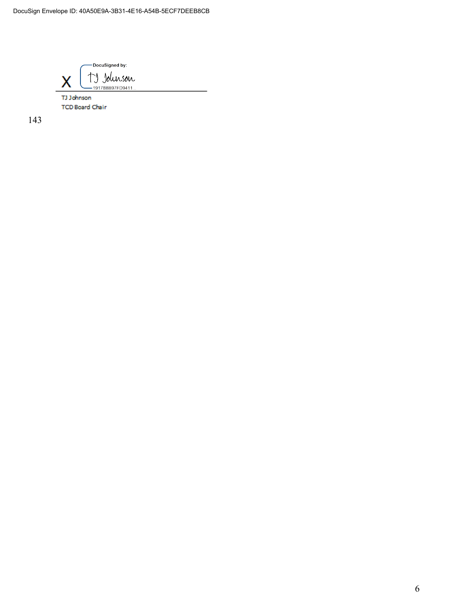-DocuSigned by: TJ Johnson X

TJ Johnson **TCD Board Chair** 

143